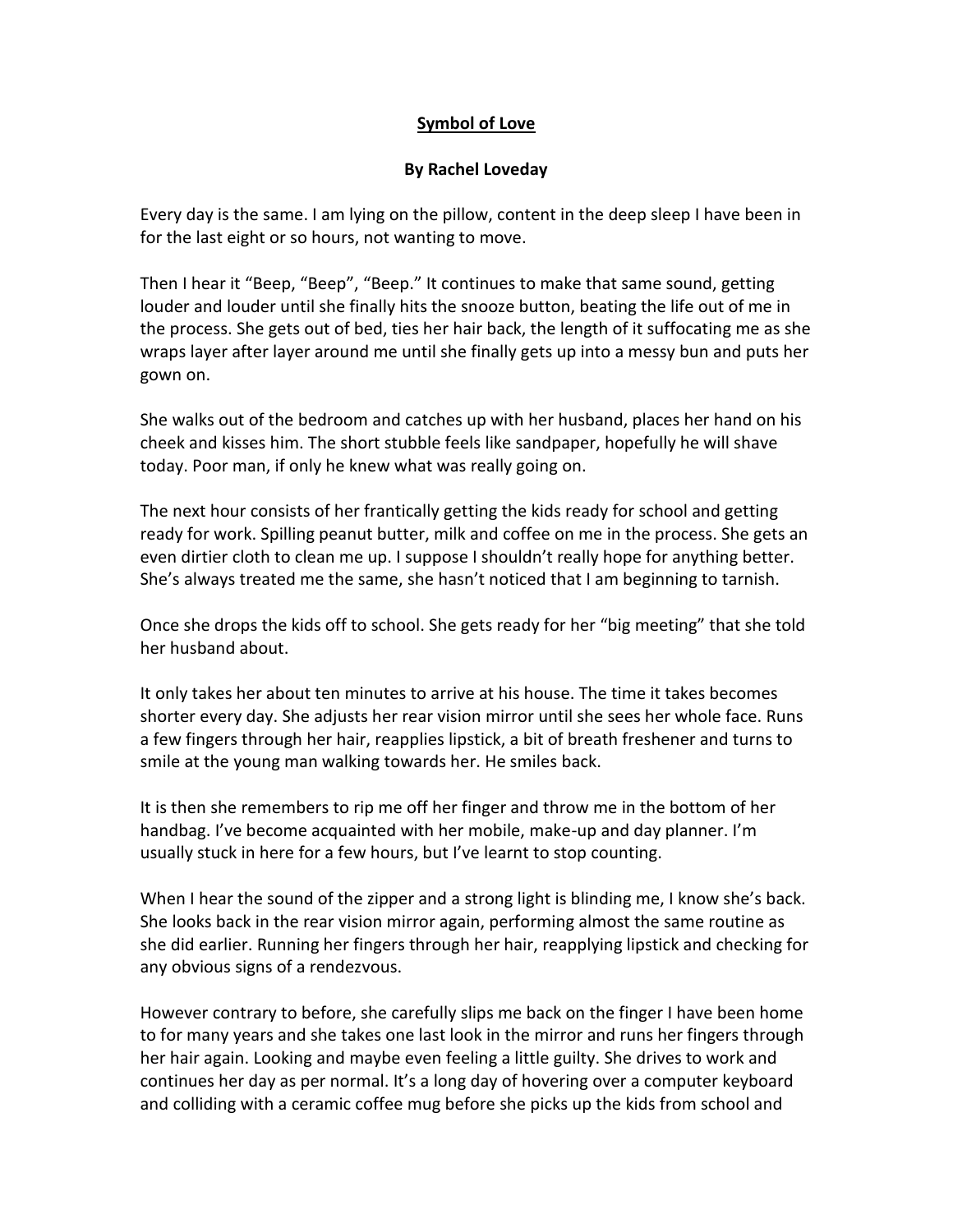## **Symbol of Love**

## **By Rachel Loveday**

Every day is the same. I am lying on the pillow, content in the deep sleep I have been in for the last eight or so hours, not wanting to move.

Then I hear it "Beep, "Beep", "Beep." It continues to make that same sound, getting louder and louder until she finally hits the snooze button, beating the life out of me in the process. She gets out of bed, ties her hair back, the length of it suffocating me as she wraps layer after layer around me until she finally gets up into a messy bun and puts her gown on.

She walks out of the bedroom and catches up with her husband, places her hand on his cheek and kisses him. The short stubble feels like sandpaper, hopefully he will shave today. Poor man, if only he knew what was really going on.

The next hour consists of her frantically getting the kids ready for school and getting ready for work. Spilling peanut butter, milk and coffee on me in the process. She gets an even dirtier cloth to clean me up. I suppose I shouldn't really hope for anything better. She's always treated me the same, she hasn't noticed that I am beginning to tarnish.

Once she drops the kids off to school. She gets ready for her "big meeting" that she told her husband about.

It only takes her about ten minutes to arrive at his house. The time it takes becomes shorter every day. She adjusts her rear vision mirror until she sees her whole face. Runs a few fingers through her hair, reapplies lipstick, a bit of breath freshener and turns to smile at the young man walking towards her. He smiles back.

It is then she remembers to rip me off her finger and throw me in the bottom of her handbag. I've become acquainted with her mobile, make-up and day planner. I'm usually stuck in here for a few hours, but I've learnt to stop counting.

When I hear the sound of the zipper and a strong light is blinding me, I know she's back. She looks back in the rear vision mirror again, performing almost the same routine as she did earlier. Running her fingers through her hair, reapplying lipstick and checking for any obvious signs of a rendezvous.

However contrary to before, she carefully slips me back on the finger I have been home to for many years and she takes one last look in the mirror and runs her fingers through her hair again. Looking and maybe even feeling a little guilty. She drives to work and continues her day as per normal. It's a long day of hovering over a computer keyboard and colliding with a ceramic coffee mug before she picks up the kids from school and